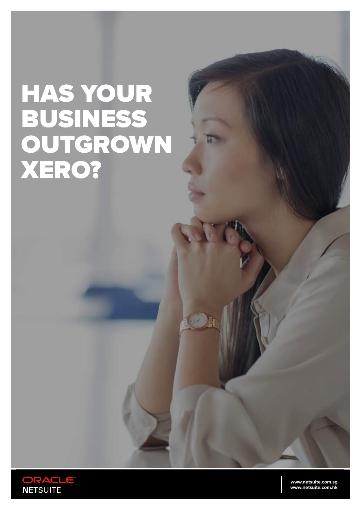# HAS YOUR BUSINESS OUTGROWN XERO?

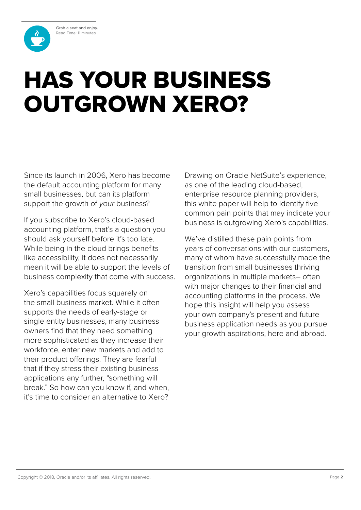Grab a seat and enjoy. Read Time: 11 minutes



## HAS YOUR BUSINESS OUTGROWN XERO?

Since its launch in 2006, Xero has become the default accounting platform for many small businesses, but can its platform support the growth of *your* business?

If you subscribe to Xero's cloud-based accounting platform, that's a question you should ask yourself before it's too late. While being in the cloud brings benefits like accessibility, it does not necessarily mean it will be able to support the levels of business complexity that come with success.

Xero's capabilities focus squarely on the small business market. While it often supports the needs of early-stage or single entity businesses, many business owners find that they need something more sophisticated as they increase their workforce, enter new markets and add to their product offerings. They are fearful that if they stress their existing business applications any further, "something will break." So how can you know if, and when, it's time to consider an alternative to Xero?

Drawing on Oracle NetSuite's experience, as one of the leading cloud-based, enterprise resource planning providers, this white paper will help to identify five common pain points that may indicate your business is outgrowing Xero's capabilities.

We've distilled these pain points from years of conversations with our customers, many of whom have successfully made the transition from small businesses thriving organizations in multiple markets– often with major changes to their financial and accounting platforms in the process. We hope this insight will help you assess your own company's present and future business application needs as you pursue your growth aspirations, here and abroad.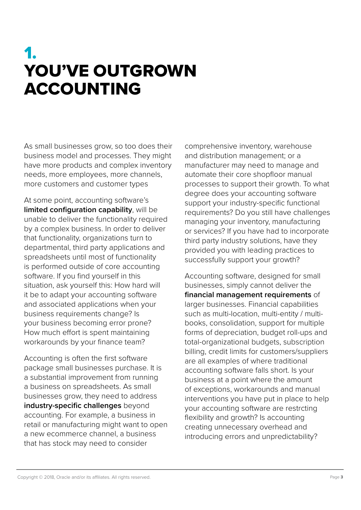### 1. YOU'VE OUTGROWN ACCOUNTING

As small businesses grow, so too does their business model and processes. They might have more products and complex inventory needs, more employees, more channels, more customers and customer types

At some point, accounting software's **limited configuration capability**, will be unable to deliver the functionality required by a complex business. In order to deliver that functionality, organizations turn to departmental, third party applications and spreadsheets until most of functionality is performed outside of core accounting software. If you find yourself in this situation, ask yourself this: How hard will it be to adapt your accounting software and associated applications when your business requirements change? Is your business becoming error prone? How much effort is spent maintaining workarounds by your finance team?

Accounting is often the first software package small businesses purchase. It is a substantial improvement from running a business on spreadsheets. As small businesses grow, they need to address **industry-specific challenges** beyond accounting. For example, a business in retail or manufacturing might want to open a new ecommerce channel, a business that has stock may need to consider

comprehensive inventory, warehouse and distribution management; or a manufacturer may need to manage and automate their core shopfloor manual processes to support their growth. To what degree does your accounting software support your industry-specific functional requirements? Do you still have challenges managing your inventory, manufacturing or services? If you have had to incorporate third party industry solutions, have they provided you with leading practices to successfully support your growth?

Accounting software, designed for small businesses, simply cannot deliver the **financial management requirements** of larger businesses. Financial capabilities such as multi-location, multi-entity / multibooks, consolidation, support for multiple forms of depreciation, budget roll-ups and total-organizational budgets, subscription billing, credit limits for customers/suppliers are all examples of where traditional accounting software falls short. Is your business at a point where the amount of exceptions, workarounds and manual interventions you have put in place to help your accounting software are restrcting flexibility and growth? Is accounting creating unnecessary overhead and introducing errors and unpredictability?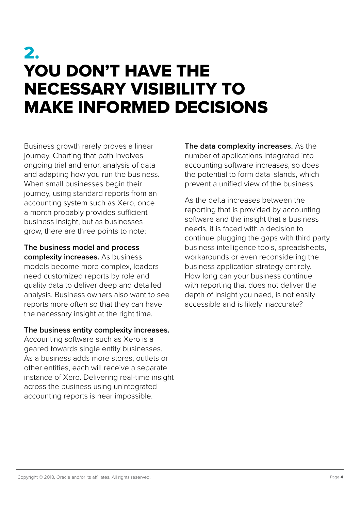### 2. YOU DON'T HAVE THE NECESSARY VISIBILITY TO MAKE INFORMED DECISIONS

Business growth rarely proves a linear journey. Charting that path involves ongoing trial and error, analysis of data and adapting how you run the business. When small businesses begin their journey, using standard reports from an accounting system such as Xero, once a month probably provides sufficient business insight, but as businesses grow, there are three points to note:

**The business model and process complexity increases.** As business models become more complex, leaders need customized reports by role and quality data to deliver deep and detailed analysis. Business owners also want to see reports more often so that they can have the necessary insight at the right time.

#### **The business entity complexity increases.**

Accounting software such as Xero is a geared towards single entity businesses. As a business adds more stores, outlets or other entities, each will receive a separate instance of Xero. Delivering real-time insight across the business using unintegrated accounting reports is near impossible.

**The data complexity increases.** As the number of applications integrated into accounting software increases, so does the potential to form data islands, which prevent a unified view of the business.

As the delta increases between the reporting that is provided by accounting software and the insight that a business needs, it is faced with a decision to continue plugging the gaps with third party business intelligence tools, spreadsheets, workarounds or even reconsidering the business application strategy entirely. How long can your business continue with reporting that does not deliver the depth of insight you need, is not easily accessible and is likely inaccurate?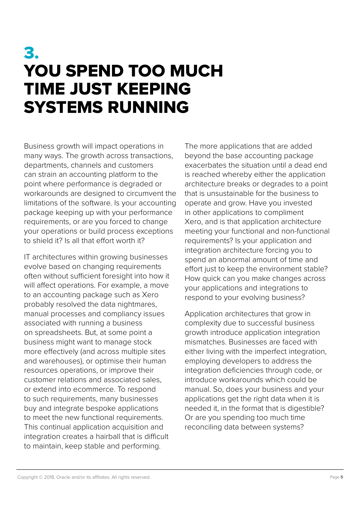### 3. YOU SPEND TOO MUCH TIME JUST KEEPING SYSTEMS RUNNING

Business growth will impact operations in many ways. The growth across transactions, departments, channels and customers can strain an accounting platform to the point where performance is degraded or workarounds are designed to circumvent the limitations of the software. Is your accounting package keeping up with your performance requirements, or are you forced to change your operations or build process exceptions to shield it? Is all that effort worth it?

IT architectures within growing businesses evolve based on changing requirements often without sufficient foresight into how it will affect operations. For example, a move to an accounting package such as Xero probably resolved the data nightmares, manual processes and compliancy issues associated with running a business on spreadsheets. But, at some point a business might want to manage stock more effectively (and across multiple sites and warehouses), or optimise their human resources operations, or improve their customer relations and associated sales, or extend into ecommerce. To respond to such requirements, many businesses buy and integrate bespoke applications to meet the new functional requirements. This continual application acquisition and integration creates a hairball that is difficult to maintain, keep stable and performing.

The more applications that are added beyond the base accounting package exacerbates the situation until a dead end is reached whereby either the application architecture breaks or degrades to a point that is unsustainable for the business to operate and grow. Have you invested in other applications to compliment Xero, and is that application architecture meeting your functional and non-functional requirements? Is your application and integration architecture forcing you to spend an abnormal amount of time and effort just to keep the environment stable? How quick can you make changes across your applications and integrations to respond to your evolving business?

Application architectures that grow in complexity due to successful business growth introduce application integration mismatches. Businesses are faced with either living with the imperfect integration, employing developers to address the integration deficiencies through code, or introduce workarounds which could be manual. So, does your business and your applications get the right data when it is needed it, in the format that is digestible? Or are you spending too much time reconciling data between systems?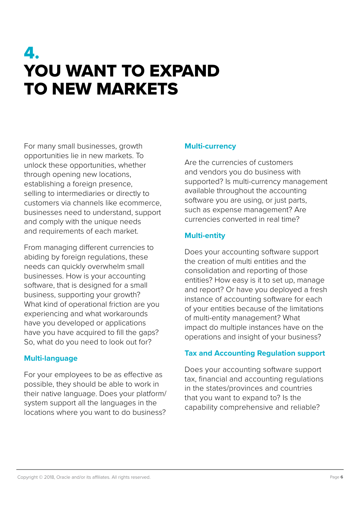### 4. YOU WANT TO EXPAND TO NEW MARKETS

For many small businesses, growth opportunities lie in new markets. To unlock these opportunities, whether through opening new locations, establishing a foreign presence, selling to intermediaries or directly to customers via channels like ecommerce, businesses need to understand, support and comply with the unique needs and requirements of each market.

From managing different currencies to abiding by foreign regulations, these needs can quickly overwhelm small businesses. How is your accounting software, that is designed for a small business, supporting your growth? What kind of operational friction are you experiencing and what workarounds have you developed or applications have you have acquired to fill the gaps? So, what do you need to look out for?

#### **Multi-language**

For your employees to be as effective as possible, they should be able to work in their native language. Does your platform/ system support all the languages in the locations where you want to do business?

#### **Multi-currency**

Are the currencies of customers and vendors you do business with supported? Is multi-currency management available throughout the accounting software you are using, or just parts, such as expense management? Are currencies converted in real time?

#### **Multi-entity**

Does your accounting software support the creation of multi entities and the consolidation and reporting of those entities? How easy is it to set up, manage and report? Or have you deployed a fresh instance of accounting software for each of your entities because of the limitations of multi-entity management? What impact do multiple instances have on the operations and insight of your business?

#### **Tax and Accounting Regulation support**

Does your accounting software support tax, financial and accounting regulations in the states/provinces and countries that you want to expand to? Is the capability comprehensive and reliable?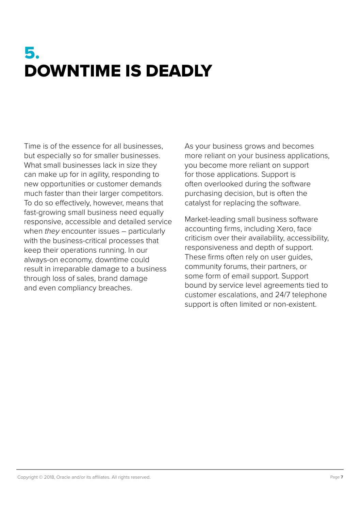### 5. DOWNTIME IS DEADLY

Time is of the essence for all businesses, but especially so for smaller businesses. What small businesses lack in size they can make up for in agility, responding to new opportunities or customer demands much faster than their larger competitors. To do so effectively, however, means that fast-growing small business need equally responsive, accessible and detailed service when *they* encounter issues – particularly with the business-critical processes that keep their operations running. In our always-on economy, downtime could result in irreparable damage to a business through loss of sales, brand damage and even compliancy breaches.

As your business grows and becomes more reliant on your business applications, you become more reliant on support for those applications. Support is often overlooked during the software purchasing decision, but is often the catalyst for replacing the software.

Market-leading small business software accounting firms, including Xero, face criticism over their availability, accessibility, responsiveness and depth of support. These firms often rely on user guides, community forums, their partners, or some form of email support. Support bound by service level agreements tied to customer escalations, and 24/7 telephone support is often limited or non-existent.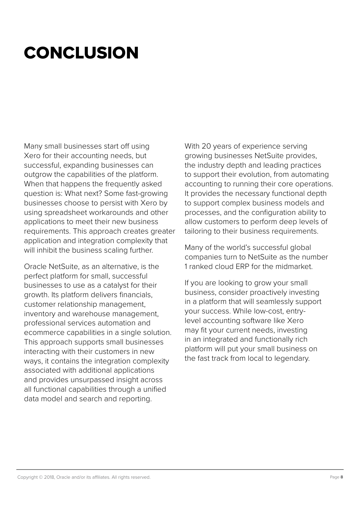## **CONCLUSION**

Many small businesses start off using Xero for their accounting needs, but successful, expanding businesses can outgrow the capabilities of the platform. When that happens the frequently asked question is: What next? Some fast-growing businesses choose to persist with Xero by using spreadsheet workarounds and other applications to meet their new business requirements. This approach creates greater application and integration complexity that will inhibit the business scaling further.

Oracle NetSuite, as an alternative, is the perfect platform for small, successful businesses to use as a catalyst for their growth. Its platform delivers financials, customer relationship management, inventory and warehouse management, professional services automation and ecommerce capabilities in a single solution. This approach supports small businesses interacting with their customers in new ways, it contains the integration complexity associated with additional applications and provides unsurpassed insight across all functional capabilities through a unified data model and search and reporting.

With 20 years of experience serving growing businesses NetSuite provides, the industry depth and leading practices to support their evolution, from automating accounting to running their core operations. It provides the necessary functional depth to support complex business models and processes, and the configuration ability to allow customers to perform deep levels of tailoring to their business requirements.

Many of the world's successful global companies turn to NetSuite as the number 1 ranked cloud ERP for the midmarket.

If you are looking to grow your small business, consider proactively investing in a platform that will seamlessly support your success. While low-cost, entrylevel accounting software like Xero may fit your current needs, investing in an integrated and functionally rich platform will put your small business on the fast track from local to legendary.